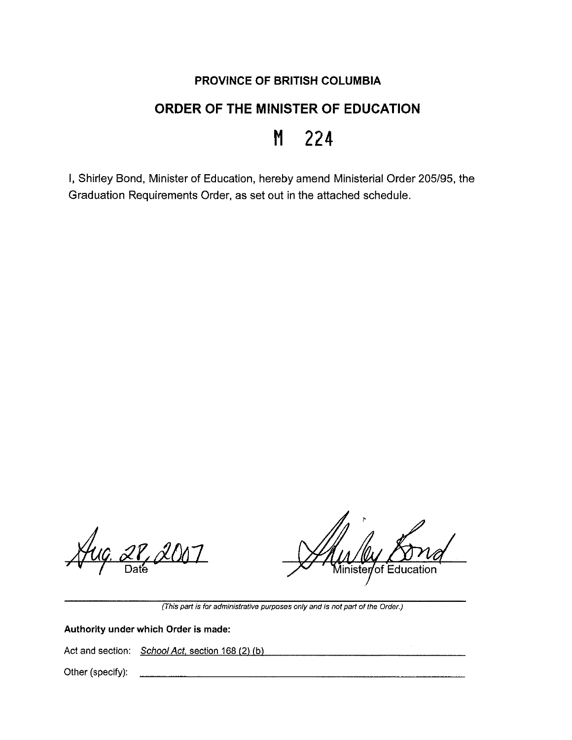# **PROVINCE OF BRITISH COLUMBIA**

# **ORDER OF THE MINISTER OF EDUCATION**

# **M 224**

I, Shirley Bond, Minister of Education, hereby amend Ministerial Order 205/95, the Graduation Requirements Order, as set out in the attached schedule.

18, 2007

*M*inister/of Education

**(This part is for administrative purposes only and is not part of the Order.)** 

## **Authority under which Order is made:**

Act and section: School Act, section 168 (2) (b)

Other (specify):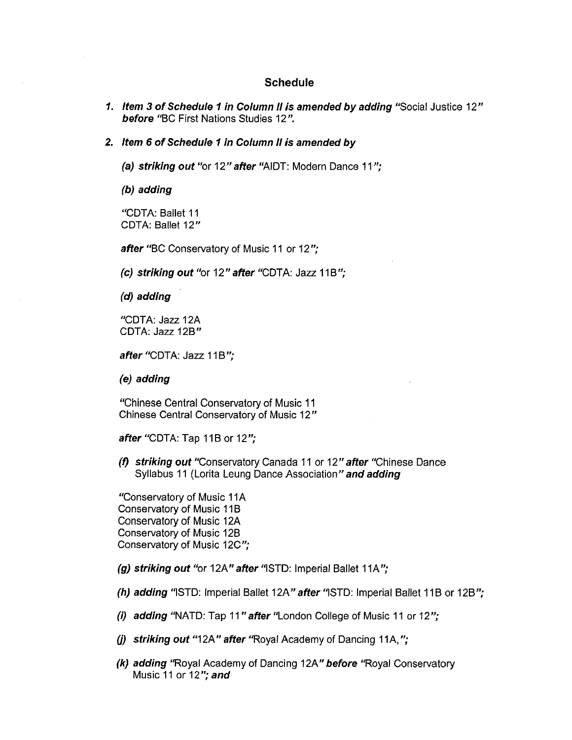#### **Schedule**

- **1. Item 3 of Schedule 1 in Column II is amended by adding** "Social Justice 12" **before** "BC First Nations Studies 12 ".
- **2. Item 6 of Schedule 1 in Column II is amended by** 
	- **(a) striking out** "or 12" **after** "AIDT: Modern Dance 11 ";

**(b) adding** 

"CDTA: Ballet 11 CDTA: Ballet 12"

**after** "BC Conservatory of Music 11 or 12 ";

(c) striking out "or 12" after "CDTA: Jazz 11B";

**(d) adding** 

"CDTA: Jazz 12A CDTA: Jazz 12B"

after "CDTA: Jazz 11B";

**(e) adding** 

"Chinese Central Conservatory of Music 11 Chinese Central Conservatory of Music 12"

**after "CDTA: Tap 11B or 12";** 

**(f) striking out** "Conservatory Canada 11 or 12" **after** "Chinese Dance Syllabus 11 (Lorita Leung Dance Association" **and adding** 

"Conservatory of Music 11 A Conservatory of Music 11B Conservatory of Music 12A Conservatory of Music 12B Conservatory of Music 12C ";

**(g) striking out** "or 12A" **after** •iSTD: Imperial Ballet 11A";

**(h) adding** "ISTD: Imperial Ballet 12A" after "ISTD: Imperial Ballet 11B or 12B";

**(i) adding** "NATO: Tap 11 **"after** "London College of Music 11 or 12 ";

**(j) striking out** "12A" **after** "Royal Academy of Dancing 11A, ";

**(k) adding** "Royal Academy of Dancing 12A" **before** "Royal Conservatory Music 11 or 12"; **and**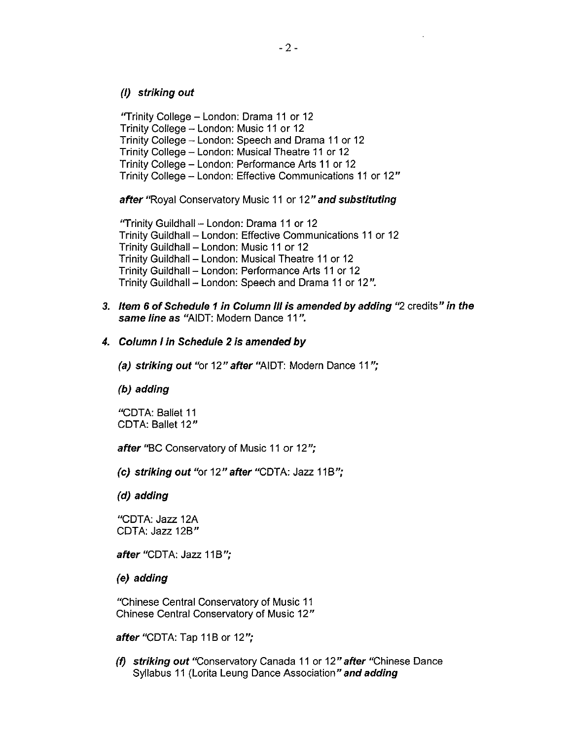#### (I) **striking out**

"Trinity College - London: Drama 11 or 12 Trinity College - London: Music 11 or 12 Trinity College - London: Speech and Drama 11 or 12 Trinity College - London: Musical Theatre 11 or 12 Trinity College - London: Performance Arts 11 or 12 Trinity College - London: Effective Communications 11 or 12"

**after** "Royal Conservatory Music 11 or 12" **and substituting** 

"Trinity Guildhall - London: Drama 11 or 12 Trinity Guildhall - London: Effective Communications 11 or 12 Trinity Guildhall - London: Music 11 or 12 Trinity Guildhall - London: Musical Theatre 11 or 12 Trinity Guildhall - London: Performance Arts 11 or 12 Trinity Guildhall - London: Speech and Drama 11 or 12".

**3. Item 6 of Schedule 1 in Column Ill is amended by adding** "2 credits" **in the same line as** "AIDT: Modern Dance 11 ".

### **4. Column I in Schedule 2 is amended by**

**(a) striking out** "or 12" **after** "AIDT: Modern Dance 11 ";

**(b) adding** 

"CDTA: Ballet 11 COTA: Ballet 12"

**after** "BC Conservatory of Music 11 or 12 ";

**(c) striking out** "or 12" **after** "COTA: Jazz 11B";

**(d) adding** 

"CDTA: Jazz 12A COTA: Jazz 12B"

after "CDTA: Jazz 11B";

**(e) adding** 

"Chinese Central Conservatory of Music 11 Chinese Central Conservatory of Music 12"

**after "CDTA: Tap 11B or 12";** 

**(f) striking out** "Conservatory Canada 11 or 12" **after** "Chinese Dance Syllabus 11 (Lorita Leung Dance Association" **and adding**